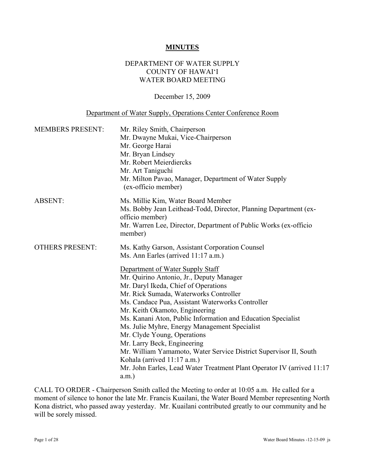### **MINUTES**

### DEPARTMENT OF WATER SUPPLY COUNTY OF HAWAI'I WATER BOARD MEETING

#### December 15, 2009

### Department of Water Supply, Operations Center Conference Room

| <b>MEMBERS PRESENT:</b> | Mr. Riley Smith, Chairperson<br>Mr. Dwayne Mukai, Vice-Chairperson<br>Mr. George Harai<br>Mr. Bryan Lindsey<br>Mr. Robert Meierdiercks<br>Mr. Art Taniguchi<br>Mr. Milton Pavao, Manager, Department of Water Supply<br>(ex-officio member)                                                                                                                                                                                                                                                                                                                                                                                                                                                                             |
|-------------------------|-------------------------------------------------------------------------------------------------------------------------------------------------------------------------------------------------------------------------------------------------------------------------------------------------------------------------------------------------------------------------------------------------------------------------------------------------------------------------------------------------------------------------------------------------------------------------------------------------------------------------------------------------------------------------------------------------------------------------|
| <b>ABSENT:</b>          | Ms. Millie Kim, Water Board Member<br>Ms. Bobby Jean Leithead-Todd, Director, Planning Department (ex-<br>officio member)<br>Mr. Warren Lee, Director, Department of Public Works (ex-officio<br>member)                                                                                                                                                                                                                                                                                                                                                                                                                                                                                                                |
| <b>OTHERS PRESENT:</b>  | Ms. Kathy Garson, Assistant Corporation Counsel<br>Ms. Ann Earles (arrived 11:17 a.m.)<br>Department of Water Supply Staff<br>Mr. Quirino Antonio, Jr., Deputy Manager<br>Mr. Daryl Ikeda, Chief of Operations<br>Mr. Rick Sumada, Waterworks Controller<br>Ms. Candace Pua, Assistant Waterworks Controller<br>Mr. Keith Okamoto, Engineering<br>Ms. Kanani Aton, Public Information and Education Specialist<br>Ms. Julie Myhre, Energy Management Specialist<br>Mr. Clyde Young, Operations<br>Mr. Larry Beck, Engineering<br>Mr. William Yamamoto, Water Service District Supervisor II, South<br>Kohala (arrived 11:17 a.m.)<br>Mr. John Earles, Lead Water Treatment Plant Operator IV (arrived 11:17<br>$a.m.$ ) |

CALL TO ORDER - Chairperson Smith called the Meeting to order at 10:05 a.m. He called for a moment of silence to honor the late Mr. Francis Kuailani, the Water Board Member representing North Kona district, who passed away yesterday. Mr. Kuailani contributed greatly to our community and he will be sorely missed.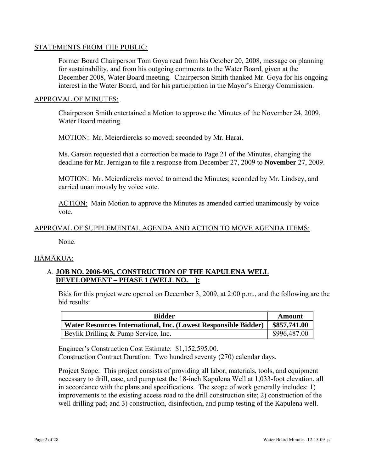### STATEMENTS FROM THE PUBLIC:

Former Board Chairperson Tom Goya read from his October 20, 2008, message on planning for sustainability, and from his outgoing comments to the Water Board, given at the December 2008, Water Board meeting. Chairperson Smith thanked Mr. Goya for his ongoing interest in the Water Board, and for his participation in the Mayor's Energy Commission.

### APPROVAL OF MINUTES:

Chairperson Smith entertained a Motion to approve the Minutes of the November 24, 2009, Water Board meeting.

MOTION: Mr. Meierdiercks so moved; seconded by Mr. Harai.

Ms. Garson requested that a correction be made to Page 21 of the Minutes, changing the deadline for Mr. Jernigan to file a response from December 27, 2009 to **November** 27, 2009.

MOTION: Mr. Meierdiercks moved to amend the Minutes; seconded by Mr. Lindsey, and carried unanimously by voice vote.

ACTION: Main Motion to approve the Minutes as amended carried unanimously by voice vote.

### APPROVAL OF SUPPLEMENTAL AGENDA AND ACTION TO MOVE AGENDA ITEMS:

None.

## HĀMĀKUA:

### A. **JOB NO. 2006-905, CONSTRUCTION OF THE KAPULENA WELL DEVELOPMENT – PHASE 1 (WELL NO. ):**

Bids for this project were opened on December 3, 2009, at 2:00 p.m., and the following are the bid results:

| <b>Bidder</b>                                                   | Amount       |
|-----------------------------------------------------------------|--------------|
| Water Resources International, Inc. (Lowest Responsible Bidder) | \$857,741.00 |
| Beylik Drilling & Pump Service, Inc.                            | \$996,487.00 |

Engineer's Construction Cost Estimate: \$1,152,595.00. Construction Contract Duration: Two hundred seventy (270) calendar days.

Project Scope: This project consists of providing all labor, materials, tools, and equipment necessary to drill, case, and pump test the 18-inch Kapulena Well at 1,033-foot elevation, all in accordance with the plans and specifications. The scope of work generally includes: 1) improvements to the existing access road to the drill construction site; 2) construction of the well drilling pad; and 3) construction, disinfection, and pump testing of the Kapulena well.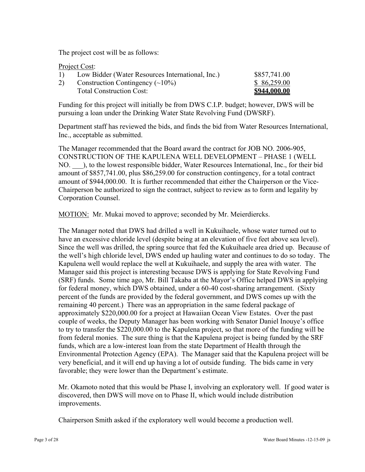The project cost will be as follows:

Project Cost:

| 1) | Low Bidder (Water Resources International, Inc.) | \$857,741.00        |
|----|--------------------------------------------------|---------------------|
| 2) | Construction Contingency $(\sim 10\%)$           | \$86,259.00         |
|    | <b>Total Construction Cost:</b>                  | <u>\$944,000.00</u> |

Funding for this project will initially be from DWS C.I.P. budget; however, DWS will be pursuing a loan under the Drinking Water State Revolving Fund (DWSRF).

Department staff has reviewed the bids, and finds the bid from Water Resources International, Inc., acceptable as submitted.

The Manager recommended that the Board award the contract for JOB NO. 2006-905, CONSTRUCTION OF THE KAPULENA WELL DEVELOPMENT – PHASE 1 (WELL NO. \_\_\_), to the lowest responsible bidder, Water Resources International, Inc., for their bid amount of \$857,741.00, plus \$86,259.00 for construction contingency, for a total contract amount of \$944,000.00. It is further recommended that either the Chairperson or the Vice-Chairperson be authorized to sign the contract, subject to review as to form and legality by Corporation Counsel.

MOTION: Mr. Mukai moved to approve; seconded by Mr. Meierdiercks.

The Manager noted that DWS had drilled a well in Kukuihaele, whose water turned out to have an excessive chloride level (despite being at an elevation of five feet above sea level). Since the well was drilled, the spring source that fed the Kukuihaele area dried up. Because of the well's high chloride level, DWS ended up hauling water and continues to do so today. The Kapulena well would replace the well at Kukuihaele, and supply the area with water. The Manager said this project is interesting because DWS is applying for State Revolving Fund (SRF) funds. Some time ago, Mr. Bill Takaba at the Mayor's Office helped DWS in applying for federal money, which DWS obtained, under a 60-40 cost-sharing arrangement. (Sixty percent of the funds are provided by the federal government, and DWS comes up with the remaining 40 percent.) There was an appropriation in the same federal package of approximately \$220,000.00 for a project at Hawaiian Ocean View Estates. Over the past couple of weeks, the Deputy Manager has been working with Senator Daniel Inouye's office to try to transfer the \$220,000.00 to the Kapulena project, so that more of the funding will be from federal monies. The sure thing is that the Kapulena project is being funded by the SRF funds, which are a low-interest loan from the state Department of Health through the Environmental Protection Agency (EPA). The Manager said that the Kapulena project will be very beneficial, and it will end up having a lot of outside funding. The bids came in very favorable; they were lower than the Department's estimate.

Mr. Okamoto noted that this would be Phase I, involving an exploratory well. If good water is discovered, then DWS will move on to Phase II, which would include distribution improvements.

Chairperson Smith asked if the exploratory well would become a production well.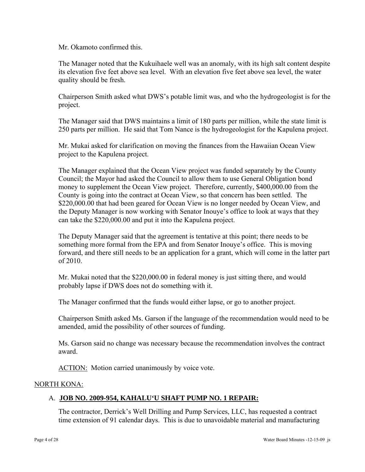Mr. Okamoto confirmed this.

The Manager noted that the Kukuihaele well was an anomaly, with its high salt content despite its elevation five feet above sea level. With an elevation five feet above sea level, the water quality should be fresh.

Chairperson Smith asked what DWS's potable limit was, and who the hydrogeologist is for the project.

The Manager said that DWS maintains a limit of 180 parts per million, while the state limit is 250 parts per million. He said that Tom Nance is the hydrogeologist for the Kapulena project.

Mr. Mukai asked for clarification on moving the finances from the Hawaiian Ocean View project to the Kapulena project.

The Manager explained that the Ocean View project was funded separately by the County Council; the Mayor had asked the Council to allow them to use General Obligation bond money to supplement the Ocean View project. Therefore, currently, \$400,000.00 from the County is going into the contract at Ocean View, so that concern has been settled. The \$220,000.00 that had been geared for Ocean View is no longer needed by Ocean View, and the Deputy Manager is now working with Senator Inouye's office to look at ways that they can take the \$220,000.00 and put it into the Kapulena project.

The Deputy Manager said that the agreement is tentative at this point; there needs to be something more formal from the EPA and from Senator Inouye's office. This is moving forward, and there still needs to be an application for a grant, which will come in the latter part of 2010.

Mr. Mukai noted that the \$220,000.00 in federal money is just sitting there, and would probably lapse if DWS does not do something with it.

The Manager confirmed that the funds would either lapse, or go to another project.

Chairperson Smith asked Ms. Garson if the language of the recommendation would need to be amended, amid the possibility of other sources of funding.

Ms. Garson said no change was necessary because the recommendation involves the contract award.

ACTION: Motion carried unanimously by voice vote.

### NORTH KONA:

## A. **JOB NO. 2009-954, KAHALU'U SHAFT PUMP NO. 1 REPAIR:**

The contractor, Derrick's Well Drilling and Pump Services, LLC, has requested a contract time extension of 91 calendar days. This is due to unavoidable material and manufacturing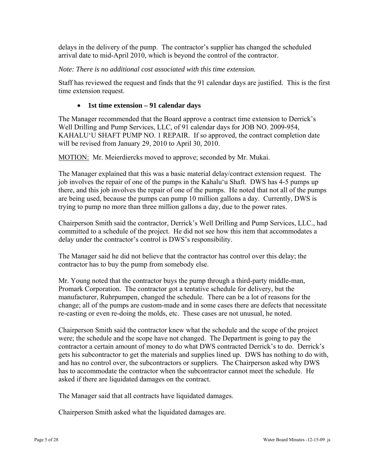delays in the delivery of the pump. The contractor's supplier has changed the scheduled arrival date to mid-April 2010, which is beyond the control of the contractor.

### *Note: There is no additional cost associated with this time extension.*

Staff has reviewed the request and finds that the 91 calendar days are justified. This is the first time extension request.

### **1st time extension – 91 calendar days**

The Manager recommended that the Board approve a contract time extension to Derrick's Well Drilling and Pump Services, LLC, of 91 calendar days for JOB NO. 2009-954, KAHALU'U SHAFT PUMP NO. 1 REPAIR. If so approved, the contract completion date will be revised from January 29, 2010 to April 30, 2010.

MOTION: Mr. Meierdiercks moved to approve; seconded by Mr. Mukai.

The Manager explained that this was a basic material delay/contract extension request. The job involves the repair of one of the pumps in the Kahalu'u Shaft. DWS has 4-5 pumps up there, and this job involves the repair of one of the pumps. He noted that not all of the pumps are being used, because the pumps can pump 10 million gallons a day. Currently, DWS is trying to pump no more than three million gallons a day, due to the power rates.

Chairperson Smith said the contractor, Derrick's Well Drilling and Pump Services, LLC., had committed to a schedule of the project. He did not see how this item that accommodates a delay under the contractor's control is DWS's responsibility.

The Manager said he did not believe that the contractor has control over this delay; the contractor has to buy the pump from somebody else.

Mr. Young noted that the contractor buys the pump through a third-party middle-man, Promark Corporation. The contractor got a tentative schedule for delivery, but the manufacturer, Ruhrpumpen, changed the schedule. There can be a lot of reasons for the change; all of the pumps are custom-made and in some cases there are defects that necessitate re-casting or even re-doing the molds, etc. These cases are not unusual, he noted.

Chairperson Smith said the contractor knew what the schedule and the scope of the project were; the schedule and the scope have not changed. The Department is going to pay the contractor a certain amount of money to do what DWS contracted Derrick's to do. Derrick's gets his subcontractor to get the materials and supplies lined up. DWS has nothing to do with, and has no control over, the subcontractors or suppliers. The Chairperson asked why DWS has to accommodate the contractor when the subcontractor cannot meet the schedule. He asked if there are liquidated damages on the contract.

The Manager said that all contracts have liquidated damages.

Chairperson Smith asked what the liquidated damages are.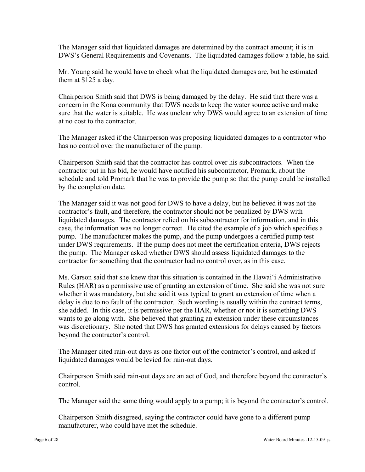The Manager said that liquidated damages are determined by the contract amount; it is in DWS's General Requirements and Covenants. The liquidated damages follow a table, he said.

Mr. Young said he would have to check what the liquidated damages are, but he estimated them at \$125 a day.

Chairperson Smith said that DWS is being damaged by the delay. He said that there was a concern in the Kona community that DWS needs to keep the water source active and make sure that the water is suitable. He was unclear why DWS would agree to an extension of time at no cost to the contractor.

The Manager asked if the Chairperson was proposing liquidated damages to a contractor who has no control over the manufacturer of the pump.

Chairperson Smith said that the contractor has control over his subcontractors. When the contractor put in his bid, he would have notified his subcontractor, Promark, about the schedule and told Promark that he was to provide the pump so that the pump could be installed by the completion date.

The Manager said it was not good for DWS to have a delay, but he believed it was not the contractor's fault, and therefore, the contractor should not be penalized by DWS with liquidated damages. The contractor relied on his subcontractor for information, and in this case, the information was no longer correct. He cited the example of a job which specifies a pump. The manufacturer makes the pump, and the pump undergoes a certified pump test under DWS requirements. If the pump does not meet the certification criteria, DWS rejects the pump. The Manager asked whether DWS should assess liquidated damages to the contractor for something that the contractor had no control over, as in this case.

Ms. Garson said that she knew that this situation is contained in the Hawai'i Administrative Rules (HAR) as a permissive use of granting an extension of time. She said she was not sure whether it was mandatory, but she said it was typical to grant an extension of time when a delay is due to no fault of the contractor. Such wording is usually within the contract terms, she added. In this case, it is permissive per the HAR, whether or not it is something DWS wants to go along with. She believed that granting an extension under these circumstances was discretionary. She noted that DWS has granted extensions for delays caused by factors beyond the contractor's control.

The Manager cited rain-out days as one factor out of the contractor's control, and asked if liquidated damages would be levied for rain-out days.

Chairperson Smith said rain-out days are an act of God, and therefore beyond the contractor's control.

The Manager said the same thing would apply to a pump; it is beyond the contractor's control.

Chairperson Smith disagreed, saying the contractor could have gone to a different pump manufacturer, who could have met the schedule.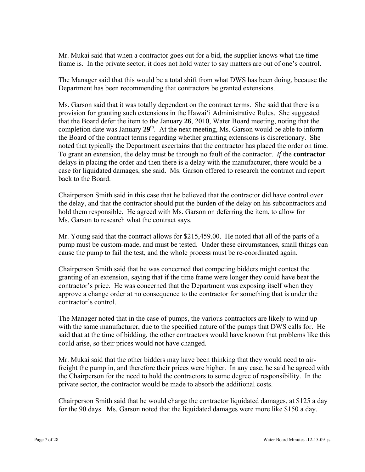Mr. Mukai said that when a contractor goes out for a bid, the supplier knows what the time frame is. In the private sector, it does not hold water to say matters are out of one's control.

The Manager said that this would be a total shift from what DWS has been doing, because the Department has been recommending that contractors be granted extensions.

Ms. Garson said that it was totally dependent on the contract terms. She said that there is a provision for granting such extensions in the Hawai'i Administrative Rules. She suggested that the Board defer the item to the January **26**, 2010, Water Board meeting, noting that the completion date was January 29<sup>th</sup>. At the next meeting, Ms. Garson would be able to inform the Board of the contract terms regarding whether granting extensions is discretionary. She noted that typically the Department ascertains that the contractor has placed the order on time. To grant an extension, the delay must be through no fault of the contractor. *If* the **contractor**  delays in placing the order and then there is a delay with the manufacturer, there would be a case for liquidated damages, she said. Ms. Garson offered to research the contract and report back to the Board.

Chairperson Smith said in this case that he believed that the contractor did have control over the delay, and that the contractor should put the burden of the delay on his subcontractors and hold them responsible. He agreed with Ms. Garson on deferring the item, to allow for Ms. Garson to research what the contract says.

Mr. Young said that the contract allows for \$215,459.00. He noted that all of the parts of a pump must be custom-made, and must be tested. Under these circumstances, small things can cause the pump to fail the test, and the whole process must be re-coordinated again.

Chairperson Smith said that he was concerned that competing bidders might contest the granting of an extension, saying that if the time frame were longer they could have beat the contractor's price. He was concerned that the Department was exposing itself when they approve a change order at no consequence to the contractor for something that is under the contractor's control.

The Manager noted that in the case of pumps, the various contractors are likely to wind up with the same manufacturer, due to the specified nature of the pumps that DWS calls for. He said that at the time of bidding, the other contractors would have known that problems like this could arise, so their prices would not have changed.

Mr. Mukai said that the other bidders may have been thinking that they would need to airfreight the pump in, and therefore their prices were higher. In any case, he said he agreed with the Chairperson for the need to hold the contractors to some degree of responsibility. In the private sector, the contractor would be made to absorb the additional costs.

Chairperson Smith said that he would charge the contractor liquidated damages, at \$125 a day for the 90 days. Ms. Garson noted that the liquidated damages were more like \$150 a day.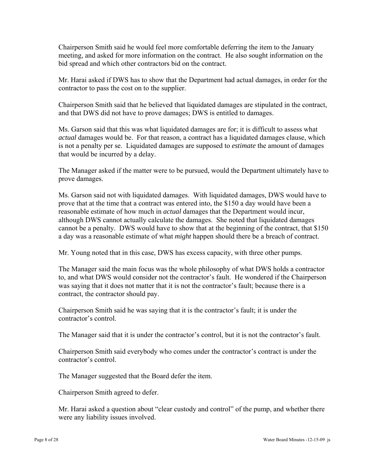Chairperson Smith said he would feel more comfortable deferring the item to the January meeting, and asked for more information on the contract. He also sought information on the bid spread and which other contractors bid on the contract.

Mr. Harai asked if DWS has to show that the Department had actual damages, in order for the contractor to pass the cost on to the supplier.

Chairperson Smith said that he believed that liquidated damages are stipulated in the contract, and that DWS did not have to prove damages; DWS is entitled to damages.

Ms. Garson said that this was what liquidated damages are for; it is difficult to assess what *actual* damages would be. For that reason, a contract has a liquidated damages clause, which is not a penalty per se. Liquidated damages are supposed to *estimate* the amount of damages that would be incurred by a delay.

The Manager asked if the matter were to be pursued, would the Department ultimately have to prove damages.

Ms. Garson said not with liquidated damages. With liquidated damages, DWS would have to prove that at the time that a contract was entered into, the \$150 a day would have been a reasonable estimate of how much in *actual* damages that the Department would incur, although DWS cannot actually calculate the damages. She noted that liquidated damages cannot be a penalty. DWS would have to show that at the beginning of the contract, that \$150 a day was a reasonable estimate of what *might* happen should there be a breach of contract.

Mr. Young noted that in this case, DWS has excess capacity, with three other pumps.

The Manager said the main focus was the whole philosophy of what DWS holds a contractor to, and what DWS would consider not the contractor's fault. He wondered if the Chairperson was saying that it does not matter that it is not the contractor's fault; because there is a contract, the contractor should pay.

Chairperson Smith said he was saying that it is the contractor's fault; it is under the contractor's control.

The Manager said that it is under the contractor's control, but it is not the contractor's fault.

Chairperson Smith said everybody who comes under the contractor's contract is under the contractor's control.

The Manager suggested that the Board defer the item.

Chairperson Smith agreed to defer.

Mr. Harai asked a question about "clear custody and control" of the pump, and whether there were any liability issues involved.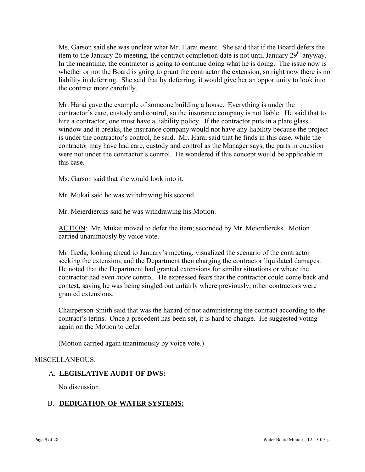Ms. Garson said she was unclear what Mr. Harai meant. She said that if the Board defers the item to the January 26 meeting, the contract completion date is not until January  $29<sup>th</sup>$  anyway. In the meantime, the contractor is going to continue doing what he is doing. The issue now is whether or not the Board is going to grant the contractor the extension, so right now there is no liability in deferring. She said that by deferring, it would give her an opportunity to look into the contract more carefully.

Mr. Harai gave the example of someone building a house. Everything is under the contractor's care, custody and control, so the insurance company is not liable. He said that to hire a contractor, one must have a liability policy. If the contractor puts in a plate glass window and it breaks, the insurance company would not have any liability because the project is under the contractor's control, he said. Mr. Harai said that he finds in this case, while the contractor may have had care, custody and control as the Manager says, the parts in question were not under the contractor's control. He wondered if this concept would be applicable in this case.

Ms. Garson said that she would look into it.

Mr. Mukai said he was withdrawing his second.

Mr. Meierdiercks said he was withdrawing his Motion.

ACTION: Mr. Mukai moved to defer the item; seconded by Mr. Meierdiercks. Motion carried unanimously by voice vote.

Mr. Ikeda, looking ahead to January's meeting, visualized the scenario of the contractor seeking the extension, and the Department then charging the contractor liquidated damages. He noted that the Department had granted extensions for similar situations or where the contractor had *even more* control. He expressed fears that the contractor could come back and contest, saying he was being singled out unfairly where previously, other contractors were granted extensions.

Chairperson Smith said that was the hazard of not administering the contract according to the contract's terms. Once a precedent has been set, it is hard to change. He suggested voting again on the Motion to defer.

(Motion carried again unanimously by voice vote.)

### MISCELLANEOUS:

### A. **LEGISLATIVE AUDIT OF DWS:**

No discussion.

## B. **DEDICATION OF WATER SYSTEMS:**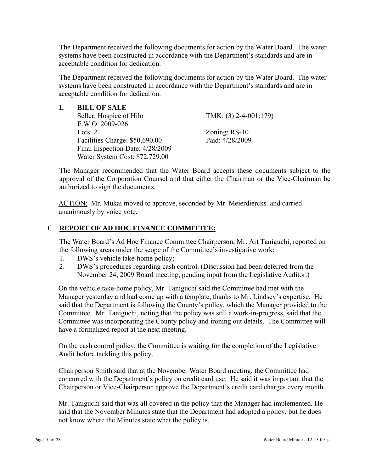The Department received the following documents for action by the Water Board. The water systems have been constructed in accordance with the Department's standards and are in acceptable condition for dedication.

The Department received the following documents for action by the Water Board. The water systems have been constructed in accordance with the Department's standards and are in acceptable condition for dedication.

| <b>BILL OF SALE</b>              |                         |
|----------------------------------|-------------------------|
| Seller: Hospice of Hilo          | TMK: $(3)$ 2-4-001:179) |
| E.W.O. 2009-026                  |                         |
| Lots: $2$                        | Zoning: $RS-10$         |
| Facilities Charge: \$50,690.00   | Paid: 4/28/2009         |
| Final Inspection Date: 4/28/2009 |                         |
| Water System Cost: \$72,729.00   |                         |

The Manager recommended that the Water Board accepts these documents subject to the approval of the Corporation Counsel and that either the Chairman or the Vice-Chairman be authorized to sign the documents.

ACTION: Mr. Mukai moved to approve, seconded by Mr. Meierdiercks. and carried unanimously by voice vote.

## C. **REPORT OF AD HOC FINANCE COMMITTEE:**

The Water Board's Ad Hoc Finance Committee Chairperson, Mr. Art Taniguchi, reported on the following areas under the scope of the Committee's investigative work:

- 1. DWS's vehicle take-home policy;
- 2. DWS's procedures regarding cash control. (Discussion had been deferred from the November 24, 2009 Board meeting, pending input from the Legislative Auditor.)

On the vehicle take-home policy, Mr. Taniguchi said the Committee had met with the Manager yesterday and had come up with a template, thanks to Mr. Lindsey's expertise. He said that the Department is following the County's policy, which the Manager provided to the Committee. Mr. Taniguchi, noting that the policy was still a work-in-progress, said that the Committee was incorporating the County policy and ironing out details. The Committee will have a formalized report at the next meeting.

On the cash control policy, the Committee is waiting for the completion of the Legislative Audit before tackling this policy.

Chairperson Smith said that at the November Water Board meeting, the Committee had concurred with the Department's policy on credit card use. He said it was important that the Chairperson or Vice-Chairperson approve the Department's credit card charges every month.

Mr. Taniguchi said that was all covered in the policy that the Manager had implemented. He said that the November Minutes state that the Department had adopted a policy, but he does not know where the Minutes state what the policy is.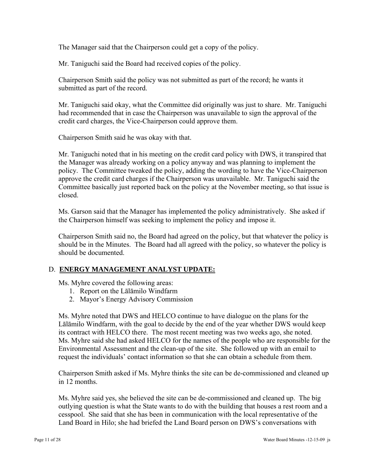The Manager said that the Chairperson could get a copy of the policy.

Mr. Taniguchi said the Board had received copies of the policy.

Chairperson Smith said the policy was not submitted as part of the record; he wants it submitted as part of the record.

Mr. Taniguchi said okay, what the Committee did originally was just to share. Mr. Taniguchi had recommended that in case the Chairperson was unavailable to sign the approval of the credit card charges, the Vice-Chairperson could approve them.

Chairperson Smith said he was okay with that.

Mr. Taniguchi noted that in his meeting on the credit card policy with DWS, it transpired that the Manager was already working on a policy anyway and was planning to implement the policy. The Committee tweaked the policy, adding the wording to have the Vice-Chairperson approve the credit card charges if the Chairperson was unavailable. Mr. Taniguchi said the Committee basically just reported back on the policy at the November meeting, so that issue is closed.

Ms. Garson said that the Manager has implemented the policy administratively. She asked if the Chairperson himself was seeking to implement the policy and impose it.

Chairperson Smith said no, the Board had agreed on the policy, but that whatever the policy is should be in the Minutes. The Board had all agreed with the policy, so whatever the policy is should be documented.

## D. **ENERGY MANAGEMENT ANALYST UPDATE:**

Ms. Myhre covered the following areas:

- 1. Report on the Lālāmilo Windfarm
- 2. Mayor's Energy Advisory Commission

Ms. Myhre noted that DWS and HELCO continue to have dialogue on the plans for the Lālāmilo Windfarm, with the goal to decide by the end of the year whether DWS would keep its contract with HELCO there. The most recent meeting was two weeks ago, she noted. Ms. Myhre said she had asked HELCO for the names of the people who are responsible for the Environmental Assessment and the clean-up of the site. She followed up with an email to request the individuals' contact information so that she can obtain a schedule from them.

Chairperson Smith asked if Ms. Myhre thinks the site can be de-commissioned and cleaned up in 12 months.

Ms. Myhre said yes, she believed the site can be de-commissioned and cleaned up. The big outlying question is what the State wants to do with the building that houses a rest room and a cesspool. She said that she has been in communication with the local representative of the Land Board in Hilo; she had briefed the Land Board person on DWS's conversations with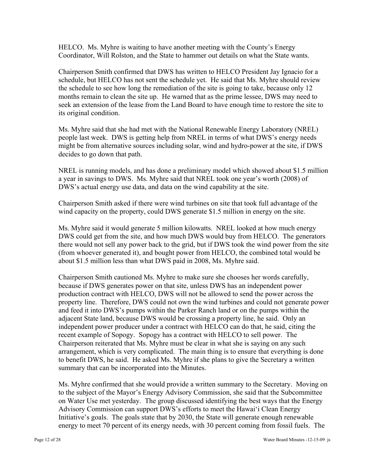HELCO. Ms. Myhre is waiting to have another meeting with the County's Energy Coordinator, Will Rolston, and the State to hammer out details on what the State wants.

Chairperson Smith confirmed that DWS has written to HELCO President Jay Ignacio for a schedule, but HELCO has not sent the schedule yet. He said that Ms. Myhre should review the schedule to see how long the remediation of the site is going to take, because only 12 months remain to clean the site up. He warned that as the prime lessee, DWS may need to seek an extension of the lease from the Land Board to have enough time to restore the site to its original condition.

Ms. Myhre said that she had met with the National Renewable Energy Laboratory (NREL) people last week. DWS is getting help from NREL in terms of what DWS's energy needs might be from alternative sources including solar, wind and hydro-power at the site, if DWS decides to go down that path.

NREL is running models, and has done a preliminary model which showed about \$1.5 million a year in savings to DWS. Ms. Myhre said that NREL took one year's worth (2008) of DWS's actual energy use data, and data on the wind capability at the site.

Chairperson Smith asked if there were wind turbines on site that took full advantage of the wind capacity on the property, could DWS generate \$1.5 million in energy on the site.

Ms. Myhre said it would generate 5 million kilowatts. NREL looked at how much energy DWS could get from the site, and how much DWS would buy from HELCO. The generators there would not sell any power back to the grid, but if DWS took the wind power from the site (from whoever generated it), and bought power from HELCO, the combined total would be about \$1.5 million less than what DWS paid in 2008, Ms. Myhre said.

Chairperson Smith cautioned Ms. Myhre to make sure she chooses her words carefully, because if DWS generates power on that site, unless DWS has an independent power production contract with HELCO, DWS will not be allowed to send the power across the property line. Therefore, DWS could not own the wind turbines and could not generate power and feed it into DWS's pumps within the Parker Ranch land or on the pumps within the adjacent State land, because DWS would be crossing a property line, he said. Only an independent power producer under a contract with HELCO can do that, he said, citing the recent example of Sopogy. Sopogy has a contract with HELCO to sell power. The Chairperson reiterated that Ms. Myhre must be clear in what she is saying on any such arrangement, which is very complicated. The main thing is to ensure that everything is done to benefit DWS, he said. He asked Ms. Myhre if she plans to give the Secretary a written summary that can be incorporated into the Minutes.

Ms. Myhre confirmed that she would provide a written summary to the Secretary. Moving on to the subject of the Mayor's Energy Advisory Commission, she said that the Subcommittee on Water Use met yesterday. The group discussed identifying the best ways that the Energy Advisory Commission can support DWS's efforts to meet the Hawai'i Clean Energy Initiative's goals. The goals state that by 2030, the State will generate enough renewable energy to meet 70 percent of its energy needs, with 30 percent coming from fossil fuels. The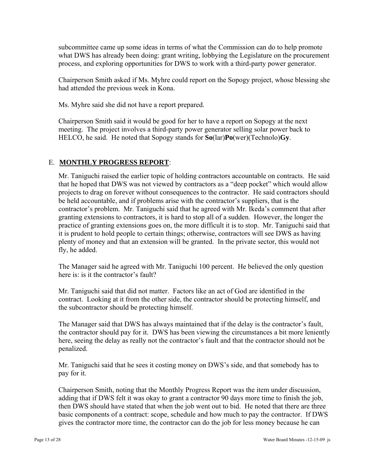subcommittee came up some ideas in terms of what the Commission can do to help promote what DWS has already been doing: grant writing, lobbying the Legislature on the procurement process, and exploring opportunities for DWS to work with a third-party power generator.

Chairperson Smith asked if Ms. Myhre could report on the Sopogy project, whose blessing she had attended the previous week in Kona.

Ms. Myhre said she did not have a report prepared.

Chairperson Smith said it would be good for her to have a report on Sopogy at the next meeting. The project involves a third-party power generator selling solar power back to HELCO, he said. He noted that Sopogy stands for **So**(lar)**Po**(wer)(Technolo)**Gy**.

# E. **MONTHLY PROGRESS REPORT**:

Mr. Taniguchi raised the earlier topic of holding contractors accountable on contracts. He said that he hoped that DWS was not viewed by contractors as a "deep pocket" which would allow projects to drag on forever without consequences to the contractor. He said contractors should be held accountable, and if problems arise with the contractor's suppliers, that is the contractor's problem. Mr. Taniguchi said that he agreed with Mr. Ikeda's comment that after granting extensions to contractors, it is hard to stop all of a sudden. However, the longer the practice of granting extensions goes on, the more difficult it is to stop. Mr. Taniguchi said that it is prudent to hold people to certain things; otherwise, contractors will see DWS as having plenty of money and that an extension will be granted. In the private sector, this would not fly, he added.

The Manager said he agreed with Mr. Taniguchi 100 percent. He believed the only question here is: is it the contractor's fault?

Mr. Taniguchi said that did not matter. Factors like an act of God are identified in the contract. Looking at it from the other side, the contractor should be protecting himself, and the subcontractor should be protecting himself.

The Manager said that DWS has always maintained that if the delay is the contractor's fault, the contractor should pay for it. DWS has been viewing the circumstances a bit more leniently here, seeing the delay as really not the contractor's fault and that the contractor should not be penalized.

Mr. Taniguchi said that he sees it costing money on DWS's side, and that somebody has to pay for it.

Chairperson Smith, noting that the Monthly Progress Report was the item under discussion, adding that if DWS felt it was okay to grant a contractor 90 days more time to finish the job, then DWS should have stated that when the job went out to bid. He noted that there are three basic components of a contract: scope, schedule and how much to pay the contractor. If DWS gives the contractor more time, the contractor can do the job for less money because he can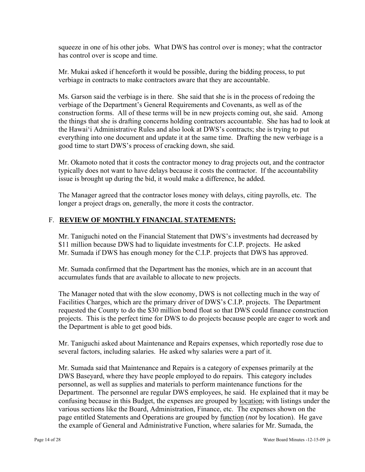squeeze in one of his other jobs. What DWS has control over is money; what the contractor has control over is scope and time.

Mr. Mukai asked if henceforth it would be possible, during the bidding process, to put verbiage in contracts to make contractors aware that they are accountable.

Ms. Garson said the verbiage is in there. She said that she is in the process of redoing the verbiage of the Department's General Requirements and Covenants, as well as of the construction forms. All of these terms will be in new projects coming out, she said. Among the things that she is drafting concerns holding contractors accountable. She has had to look at the Hawai'i Administrative Rules and also look at DWS's contracts; she is trying to put everything into one document and update it at the same time. Drafting the new verbiage is a good time to start DWS's process of cracking down, she said.

Mr. Okamoto noted that it costs the contractor money to drag projects out, and the contractor typically does not want to have delays because it costs the contractor. If the accountability issue is brought up during the bid, it would make a difference, he added.

The Manager agreed that the contractor loses money with delays, citing payrolls, etc. The longer a project drags on, generally, the more it costs the contractor.

## F. **REVIEW OF MONTHLY FINANCIAL STATEMENTS:**

Mr. Taniguchi noted on the Financial Statement that DWS's investments had decreased by \$11 million because DWS had to liquidate investments for C.I.P. projects. He asked Mr. Sumada if DWS has enough money for the C.I.P. projects that DWS has approved.

Mr. Sumada confirmed that the Department has the monies, which are in an account that accumulates funds that are available to allocate to new projects.

The Manager noted that with the slow economy, DWS is not collecting much in the way of Facilities Charges, which are the primary driver of DWS's C.I.P. projects. The Department requested the County to do the \$30 million bond float so that DWS could finance construction projects. This is the perfect time for DWS to do projects because people are eager to work and the Department is able to get good bids.

Mr. Taniguchi asked about Maintenance and Repairs expenses, which reportedly rose due to several factors, including salaries. He asked why salaries were a part of it.

Mr. Sumada said that Maintenance and Repairs is a category of expenses primarily at the DWS Baseyard, where they have people employed to do repairs. This category includes personnel, as well as supplies and materials to perform maintenance functions for the Department. The personnel are regular DWS employees, he said. He explained that it may be confusing because in this Budget, the expenses are grouped by location; with listings under the various sections like the Board, Administration, Finance, etc. The expenses shown on the page entitled Statements and Operations are grouped by function (*not* by location). He gave the example of General and Administrative Function, where salaries for Mr. Sumada, the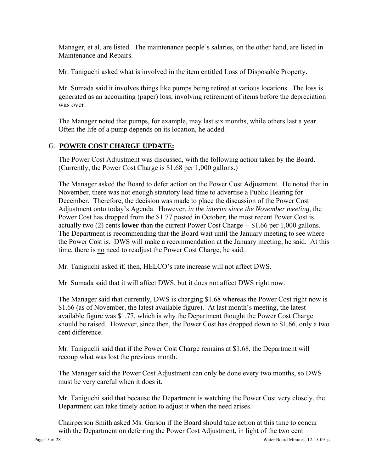Manager, et al, are listed. The maintenance people's salaries, on the other hand, are listed in Maintenance and Repairs.

Mr. Taniguchi asked what is involved in the item entitled Loss of Disposable Property.

Mr. Sumada said it involves things like pumps being retired at various locations. The loss is generated as an accounting (paper) loss, involving retirement of items before the depreciation was over.

The Manager noted that pumps, for example, may last six months, while others last a year. Often the life of a pump depends on its location, he added.

## G. **POWER COST CHARGE UPDATE:**

The Power Cost Adjustment was discussed, with the following action taken by the Board. (Currently, the Power Cost Charge is \$1.68 per 1,000 gallons.)

The Manager asked the Board to defer action on the Power Cost Adjustment. He noted that in November, there was not enough statutory lead time to advertise a Public Hearing for December. Therefore, the decision was made to place the discussion of the Power Cost Adjustment onto today's Agenda. However, *in the interim since the November meeting*, the Power Cost has dropped from the \$1.77 posted in October; the most recent Power Cost is actually two (2) cents **lower** than the current Power Cost Charge -- \$1.66 per 1,000 gallons. The Department is recommending that the Board wait until the January meeting to see where the Power Cost is. DWS will make a recommendation at the January meeting, he said. At this time, there is no need to readjust the Power Cost Charge, he said.

Mr. Taniguchi asked if, then, HELCO's rate increase will not affect DWS.

Mr. Sumada said that it will affect DWS, but it does not affect DWS right now.

The Manager said that currently, DWS is charging \$1.68 whereas the Power Cost right now is \$1.66 (as of November, the latest available figure). At last month's meeting, the latest available figure was \$1.77, which is why the Department thought the Power Cost Charge should be raised. However, since then, the Power Cost has dropped down to \$1.66, only a two cent difference.

Mr. Taniguchi said that if the Power Cost Charge remains at \$1.68, the Department will recoup what was lost the previous month.

The Manager said the Power Cost Adjustment can only be done every two months, so DWS must be very careful when it does it.

Mr. Taniguchi said that because the Department is watching the Power Cost very closely, the Department can take timely action to adjust it when the need arises.

Chairperson Smith asked Ms. Garson if the Board should take action at this time to concur with the Department on deferring the Power Cost Adjustment, in light of the two cent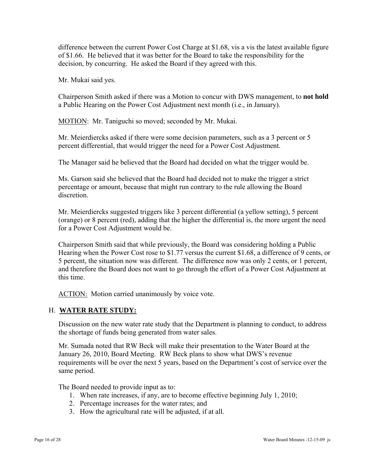difference between the current Power Cost Charge at \$1.68, vis a vis the latest available figure of \$1.66. He believed that it was better for the Board to take the responsibility for the decision, by concurring. He asked the Board if they agreed with this.

Mr. Mukai said yes.

Chairperson Smith asked if there was a Motion to concur with DWS management, to **not hold** a Public Hearing on the Power Cost Adjustment next month (i.e., in January).

MOTION: Mr. Taniguchi so moved; seconded by Mr. Mukai.

Mr. Meierdiercks asked if there were some decision parameters, such as a 3 percent or 5 percent differential, that would trigger the need for a Power Cost Adjustment.

The Manager said he believed that the Board had decided on what the trigger would be.

Ms. Garson said she believed that the Board had decided not to make the trigger a strict percentage or amount, because that might run contrary to the rule allowing the Board discretion.

Mr. Meierdiercks suggested triggers like 3 percent differential (a yellow setting), 5 percent (orange) or 8 percent (red), adding that the higher the differential is, the more urgent the need for a Power Cost Adjustment would be.

Chairperson Smith said that while previously, the Board was considering holding a Public Hearing when the Power Cost rose to \$1.77 versus the current \$1.68, a difference of 9 cents, or 5 percent, the situation now was different. The difference now was only 2 cents, or 1 percent, and therefore the Board does not want to go through the effort of a Power Cost Adjustment at this time.

ACTION: Motion carried unanimously by voice vote.

### H. **WATER RATE STUDY:**

Discussion on the new water rate study that the Department is planning to conduct, to address the shortage of funds being generated from water sales.

Mr. Sumada noted that RW Beck will make their presentation to the Water Board at the January 26, 2010, Board Meeting. RW Beck plans to show what DWS's revenue requirements will be over the next 5 years, based on the Department's cost of service over the same period.

The Board needed to provide input as to:

- 1. When rate increases, if any, are to become effective beginning July 1, 2010;
- 2. Percentage increases for the water rates; and
- 3. How the agricultural rate will be adjusted, if at all.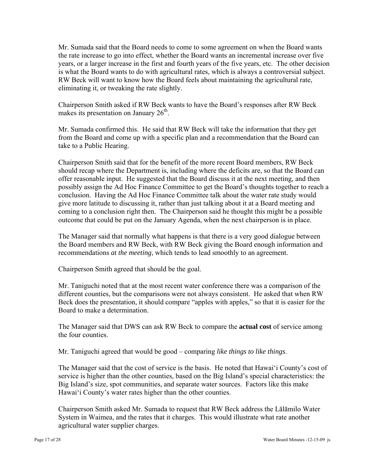Mr. Sumada said that the Board needs to come to some agreement on when the Board wants the rate increase to go into effect, whether the Board wants an incremental increase over five years, or a larger increase in the first and fourth years of the five years, etc. The other decision is what the Board wants to do with agricultural rates, which is always a controversial subject. RW Beck will want to know how the Board feels about maintaining the agricultural rate, eliminating it, or tweaking the rate slightly.

Chairperson Smith asked if RW Beck wants to have the Board's responses after RW Beck makes its presentation on January  $26<sup>th</sup>$ .

Mr. Sumada confirmed this. He said that RW Beck will take the information that they get from the Board and come up with a specific plan and a recommendation that the Board can take to a Public Hearing.

Chairperson Smith said that for the benefit of the more recent Board members, RW Beck should recap where the Department is, including where the deficits are, so that the Board can offer reasonable input. He suggested that the Board discuss it at the next meeting, and then possibly assign the Ad Hoc Finance Committee to get the Board's thoughts together to reach a conclusion. Having the Ad Hoc Finance Committee talk about the water rate study would give more latitude to discussing it, rather than just talking about it at a Board meeting and coming to a conclusion right then. The Chairperson said he thought this might be a possible outcome that could be put on the January Agenda, when the next chairperson is in place.

The Manager said that normally what happens is that there is a very good dialogue between the Board members and RW Beck, with RW Beck giving the Board enough information and recommendations *at the meeting*, which tends to lead smoothly to an agreement.

Chairperson Smith agreed that should be the goal.

Mr. Taniguchi noted that at the most recent water conference there was a comparison of the different counties, but the comparisons were not always consistent. He asked that when RW Beck does the presentation, it should compare "apples with apples," so that it is easier for the Board to make a determination.

The Manager said that DWS can ask RW Beck to compare the **actual cost** of service among the four counties.

Mr. Taniguchi agreed that would be good – comparing *like things to like things*.

The Manager said that the cost of service is the basis. He noted that Hawai'i County's cost of service is higher than the other counties, based on the Big Island's special characteristics: the Big Island's size, spot communities, and separate water sources. Factors like this make Hawai'i County's water rates higher than the other counties.

Chairperson Smith asked Mr. Sumada to request that RW Beck address the Lālāmilo Water System in Waimea, and the rates that it charges. This would illustrate what rate another agricultural water supplier charges.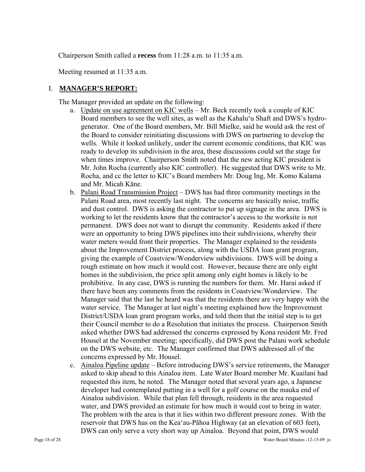Chairperson Smith called a **recess** from 11:28 a.m. to 11:35 a.m.

Meeting resumed at 11:35 a.m.

### I. **MANAGER'S REPORT:**

The Manager provided an update on the following:

- a. Update on use agreement on KIC wells Mr. Beck recently took a couple of KIC Board members to see the well sites, as well as the Kahalu'u Shaft and DWS's hydrogenerator. One of the Board members, Mr. Bill Mielke, said he would ask the rest of the Board to consider reinitiating discussions with DWS on partnering to develop the wells. While it looked unlikely, under the current economic conditions, that KIC was ready to develop its subdivision in the area, these discussions could set the stage for when times improve. Chairperson Smith noted that the new acting KIC president is Mr. John Rocha (currently also KIC controller). He suggested that DWS write to Mr. Rocha, and cc the letter to KIC's Board members Mr. Doug Ing, Mr. Komo Kalama and Mr. Micah Kāne.
- b. Palani Road Transmission Project DWS has had three community meetings in the Palani Road area, most recently last night. The concerns are basically noise, traffic and dust control. DWS is asking the contractor to put up signage in the area. DWS is working to let the residents know that the contractor's access to the worksite is not permanent. DWS does not want to disrupt the community. Residents asked if there were an opportunity to bring DWS pipelines into their subdivisions, whereby their water meters would front their properties. The Manager explained to the residents about the Improvement District process, along with the USDA loan grant program, giving the example of Coastview/Wonderview subdivisions. DWS will be doing a rough estimate on how much it would cost. However, because there are only eight homes in the subdivision, the price split among only eight homes is likely to be prohibitive. In any case, DWS is running the numbers for them. Mr. Harai asked if there have been any comments from the residents in Coastview/Wonderview. The Manager said that the last he heard was that the residents there are very happy with the water service. The Manager at last night's meeting explained how the Improvement District/USDA loan grant program works, and told them that the initial step is to get their Council member to do a Resolution that initiates the process. Chairperson Smith asked whether DWS had addressed the concerns expressed by Kona resident Mr. Fred Housel at the November meeting; specifically, did DWS post the Palani work schedule on the DWS website, etc. The Manager confirmed that DWS addressed all of the concerns expressed by Mr. Housel.
- c. Ainaloa Pipeline update Before introducing DWS's service retirements, the Manager asked to skip ahead to this Ainaloa item. Late Water Board member Mr. Kuailani had requested this item, he noted. The Manager noted that several years ago, a Japanese developer had contemplated putting in a well for a golf course on the mauka end of Ainaloa subdivision. While that plan fell through, residents in the area requested water, and DWS provided an estimate for how much it would cost to bring in water. The problem with the area is that it lies within two different pressure zones. With the reservoir that DWS has on the Kea'au-Pāhoa Highway (at an elevation of 603 feet), DWS can only serve a very short way up Ainaloa. Beyond that point, DWS would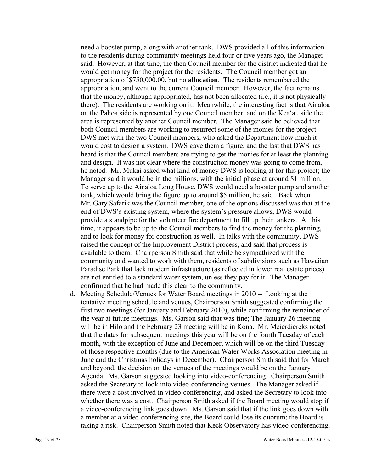need a booster pump, along with another tank. DWS provided all of this information to the residents during community meetings held four or five years ago, the Manager said. However, at that time, the then Council member for the district indicated that he would get money for the project for the residents. The Council member got an appropriation of \$750,000.00, but no **allocation**. The residents remembered the appropriation, and went to the current Council member. However, the fact remains that the money, although appropriated, has not been allocated (i.e., it is not physically there). The residents are working on it. Meanwhile, the interesting fact is that Ainaloa on the Pāhoa side is represented by one Council member, and on the Kea'au side the area is represented by another Council member. The Manager said he believed that both Council members are working to resurrect some of the monies for the project. DWS met with the two Council members, who asked the Department how much it would cost to design a system. DWS gave them a figure, and the last that DWS has heard is that the Council members are trying to get the monies for at least the planning and design. It was not clear where the construction money was going to come from, he noted. Mr. Mukai asked what kind of money DWS is looking at for this project; the Manager said it would be in the millions, with the initial phase at around \$1 million. To serve up to the Ainaloa Long House, DWS would need a booster pump and another tank, which would bring the figure up to around \$5 million, he said. Back when Mr. Gary Safarik was the Council member, one of the options discussed was that at the end of DWS's existing system, where the system's pressure allows, DWS would provide a standpipe for the volunteer fire department to fill up their tankers. At this time, it appears to be up to the Council members to find the money for the planning, and to look for money for construction as well. In talks with the community, DWS raised the concept of the Improvement District process, and said that process is available to them. Chairperson Smith said that while he sympathized with the community and wanted to work with them, residents of subdivisions such as Hawaiian Paradise Park that lack modern infrastructure (as reflected in lower real estate prices) are not entitled to a standard water system, unless they pay for it. The Manager confirmed that he had made this clear to the community.

d. Meeting Schedule/Venues for Water Board meetings in 2010 -- Looking at the tentative meeting schedule and venues, Chairperson Smith suggested confirming the first two meetings (for January and February 2010), while confirming the remainder of the year at future meetings. Ms. Garson said that was fine; The January 26 meeting will be in Hilo and the February 23 meeting will be in Kona. Mr. Meierdiercks noted that the dates for subsequent meetings this year will be on the fourth Tuesday of each month, with the exception of June and December, which will be on the third Tuesday of those respective months (due to the American Water Works Association meeting in June and the Christmas holidays in December). Chairperson Smith said that for March and beyond, the decision on the venues of the meetings would be on the January Agenda. Ms. Garson suggested looking into video-conferencing. Chairperson Smith asked the Secretary to look into video-conferencing venues. The Manager asked if there were a cost involved in video-conferencing, and asked the Secretary to look into whether there was a cost. Chairperson Smith asked if the Board meeting would stop if a video-conferencing link goes down. Ms. Garson said that if the link goes down with a member at a video-conferencing site, the Board could lose its quorum; the Board is taking a risk. Chairperson Smith noted that Keck Observatory has video-conferencing.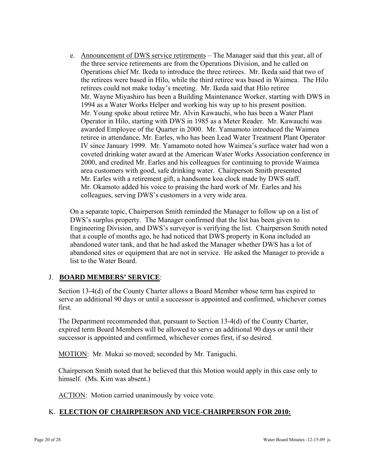e. Announcement of DWS service retirements – The Manager said that this year, all of the three service retirements are from the Operations Division, and he called on Operations chief Mr. Ikeda to introduce the three retirees. Mr. Ikeda said that two of the retirees were based in Hilo, while the third retiree was based in Waimea. The Hilo retirees could not make today's meeting. Mr. Ikeda said that Hilo retiree Mr. Wayne Miyashiro has been a Building Maintenance Worker, starting with DWS in 1994 as a Water Works Helper and working his way up to his present position. Mr. Young spoke about retiree Mr. Alvin Kawauchi, who has been a Water Plant Operator in Hilo, starting with DWS in 1985 as a Meter Reader. Mr. Kawauchi was awarded Employee of the Quarter in 2000. Mr. Yamamoto introduced the Waimea retiree in attendance, Mr. Earles, who has been Lead Water Treatment Plant Operator IV since January 1999. Mr. Yamamoto noted how Waimea's surface water had won a coveted drinking water award at the American Water Works Association conference in 2000, and credited Mr. Earles and his colleagues for continuing to provide Waimea area customers with good, safe drinking water. Chairperson Smith presented Mr. Earles with a retirement gift, a handsome koa clock made by DWS staff. Mr. Okamoto added his voice to praising the hard work of Mr. Earles and his colleagues, serving DWS's customers in a very wide area.

On a separate topic, Chairperson Smith reminded the Manager to follow up on a list of DWS's surplus property. The Manager confirmed that the list has been given to Engineering Division, and DWS's surveyor is verifying the list. Chairperson Smith noted that a couple of months ago, he had noticed that DWS property in Kona included an abandoned water tank, and that he had asked the Manager whether DWS has a lot of abandoned sites or equipment that are not in service. He asked the Manager to provide a list to the Water Board.

## J. **BOARD MEMBERS' SERVICE**:

Section 13-4(d) of the County Charter allows a Board Member whose term has expired to serve an additional 90 days or until a successor is appointed and confirmed, whichever comes first.

The Department recommended that, pursuant to Section 13-4(d) of the County Charter, expired term Board Members will be allowed to serve an additional 90 days or until their successor is appointed and confirmed, whichever comes first, if so desired.

MOTION: Mr. Mukai so moved; seconded by Mr. Taniguchi.

Chairperson Smith noted that he believed that this Motion would apply in this case only to himself. (Ms. Kim was absent.)

ACTION: Motion carried unanimously by voice vote.

## K. **ELECTION OF CHAIRPERSON AND VICE-CHAIRPERSON FOR 2010:**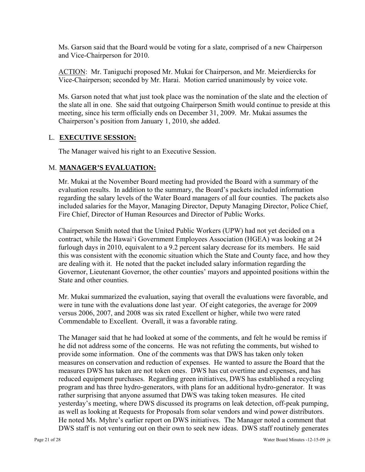Ms. Garson said that the Board would be voting for a slate, comprised of a new Chairperson and Vice-Chairperson for 2010.

ACTION: Mr. Taniguchi proposed Mr. Mukai for Chairperson, and Mr. Meierdiercks for Vice-Chairperson; seconded by Mr. Harai. Motion carried unanimously by voice vote.

Ms. Garson noted that what just took place was the nomination of the slate and the election of the slate all in one. She said that outgoing Chairperson Smith would continue to preside at this meeting, since his term officially ends on December 31, 2009. Mr. Mukai assumes the Chairperson's position from January 1, 2010, she added.

### L. **EXECUTIVE SESSION:**

The Manager waived his right to an Executive Session.

### M. **MANAGER'S EVALUATION:**

Mr. Mukai at the November Board meeting had provided the Board with a summary of the evaluation results. In addition to the summary, the Board's packets included information regarding the salary levels of the Water Board managers of all four counties. The packets also included salaries for the Mayor, Managing Director, Deputy Managing Director, Police Chief, Fire Chief, Director of Human Resources and Director of Public Works.

Chairperson Smith noted that the United Public Workers (UPW) had not yet decided on a contract, while the Hawai'i Government Employees Association (HGEA) was looking at 24 furlough days in 2010, equivalent to a 9.2 percent salary decrease for its members. He said this was consistent with the economic situation which the State and County face, and how they are dealing with it. He noted that the packet included salary information regarding the Governor, Lieutenant Governor, the other counties' mayors and appointed positions within the State and other counties.

Mr. Mukai summarized the evaluation, saying that overall the evaluations were favorable, and were in tune with the evaluations done last year. Of eight categories, the average for 2009 versus 2006, 2007, and 2008 was six rated Excellent or higher, while two were rated Commendable to Excellent. Overall, it was a favorable rating.

The Manager said that he had looked at some of the comments, and felt he would be remiss if he did not address some of the concerns. He was not refuting the comments, but wished to provide some information. One of the comments was that DWS has taken only token measures on conservation and reduction of expenses. He wanted to assure the Board that the measures DWS has taken are not token ones. DWS has cut overtime and expenses, and has reduced equipment purchases. Regarding green initiatives, DWS has established a recycling program and has three hydro-generators, with plans for an additional hydro-generator. It was rather surprising that anyone assumed that DWS was taking token measures. He cited yesterday's meeting, where DWS discussed its programs on leak detection, off-peak pumping, as well as looking at Requests for Proposals from solar vendors and wind power distributors. He noted Ms. Myhre's earlier report on DWS initiatives. The Manager noted a comment that DWS staff is not venturing out on their own to seek new ideas. DWS staff routinely generates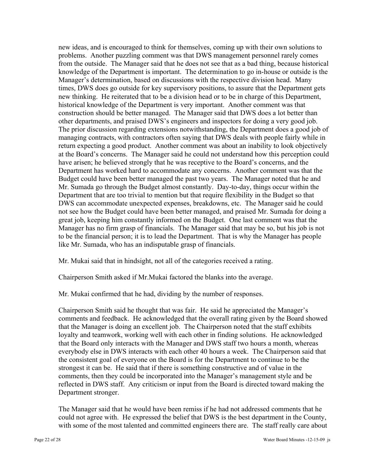new ideas, and is encouraged to think for themselves, coming up with their own solutions to problems. Another puzzling comment was that DWS management personnel rarely comes from the outside. The Manager said that he does not see that as a bad thing, because historical knowledge of the Department is important. The determination to go in-house or outside is the Manager's determination, based on discussions with the respective division head. Many times, DWS does go outside for key supervisory positions, to assure that the Department gets new thinking. He reiterated that to be a division head or to be in charge of this Department, historical knowledge of the Department is very important. Another comment was that construction should be better managed. The Manager said that DWS does a lot better than other departments, and praised DWS's engineers and inspectors for doing a very good job. The prior discussion regarding extensions notwithstanding, the Department does a good job of managing contracts, with contractors often saying that DWS deals with people fairly while in return expecting a good product. Another comment was about an inability to look objectively at the Board's concerns. The Manager said he could not understand how this perception could have arisen; he believed strongly that he was receptive to the Board's concerns, and the Department has worked hard to accommodate any concerns. Another comment was that the Budget could have been better managed the past two years. The Manager noted that he and Mr. Sumada go through the Budget almost constantly. Day-to-day, things occur within the Department that are too trivial to mention but that require flexibility in the Budget so that DWS can accommodate unexpected expenses, breakdowns, etc. The Manager said he could not see how the Budget could have been better managed, and praised Mr. Sumada for doing a great job, keeping him constantly informed on the Budget. One last comment was that the Manager has no firm grasp of financials. The Manager said that may be so, but his job is not to be the financial person; it is to lead the Department. That is why the Manager has people like Mr. Sumada, who has an indisputable grasp of financials.

Mr. Mukai said that in hindsight, not all of the categories received a rating.

Chairperson Smith asked if Mr.Mukai factored the blanks into the average.

Mr. Mukai confirmed that he had, dividing by the number of responses.

Chairperson Smith said he thought that was fair. He said he appreciated the Manager's comments and feedback. He acknowledged that the overall rating given by the Board showed that the Manager is doing an excellent job. The Chairperson noted that the staff exhibits loyalty and teamwork, working well with each other in finding solutions. He acknowledged that the Board only interacts with the Manager and DWS staff two hours a month, whereas everybody else in DWS interacts with each other 40 hours a week. The Chairperson said that the consistent goal of everyone on the Board is for the Department to continue to be the strongest it can be. He said that if there is something constructive and of value in the comments, then they could be incorporated into the Manager's management style and be reflected in DWS staff. Any criticism or input from the Board is directed toward making the Department stronger.

The Manager said that he would have been remiss if he had not addressed comments that he could not agree with. He expressed the belief that DWS is the best department in the County, with some of the most talented and committed engineers there are. The staff really care about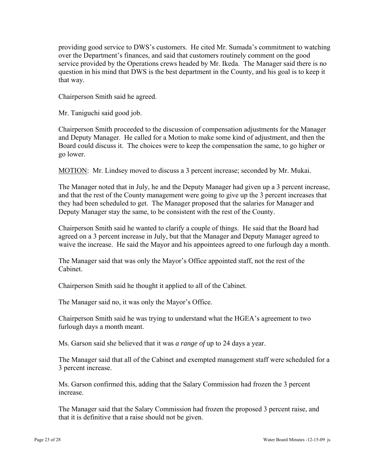providing good service to DWS's customers. He cited Mr. Sumada's commitment to watching over the Department's finances, and said that customers routinely comment on the good service provided by the Operations crews headed by Mr. Ikeda. The Manager said there is no question in his mind that DWS is the best department in the County, and his goal is to keep it that way.

Chairperson Smith said he agreed.

Mr. Taniguchi said good job.

Chairperson Smith proceeded to the discussion of compensation adjustments for the Manager and Deputy Manager. He called for a Motion to make some kind of adjustment, and then the Board could discuss it. The choices were to keep the compensation the same, to go higher or go lower.

MOTION: Mr. Lindsey moved to discuss a 3 percent increase; seconded by Mr. Mukai.

The Manager noted that in July, he and the Deputy Manager had given up a 3 percent increase, and that the rest of the County management were going to give up the 3 percent increases that they had been scheduled to get. The Manager proposed that the salaries for Manager and Deputy Manager stay the same, to be consistent with the rest of the County.

Chairperson Smith said he wanted to clarify a couple of things. He said that the Board had agreed on a 3 percent increase in July, but that the Manager and Deputy Manager agreed to waive the increase. He said the Mayor and his appointees agreed to one furlough day a month.

The Manager said that was only the Mayor's Office appointed staff, not the rest of the Cabinet.

Chairperson Smith said he thought it applied to all of the Cabinet.

The Manager said no, it was only the Mayor's Office.

Chairperson Smith said he was trying to understand what the HGEA's agreement to two furlough days a month meant.

Ms. Garson said she believed that it was *a range of* up to 24 days a year.

The Manager said that all of the Cabinet and exempted management staff were scheduled for a 3 percent increase.

Ms. Garson confirmed this, adding that the Salary Commission had frozen the 3 percent increase.

The Manager said that the Salary Commission had frozen the proposed 3 percent raise, and that it is definitive that a raise should not be given.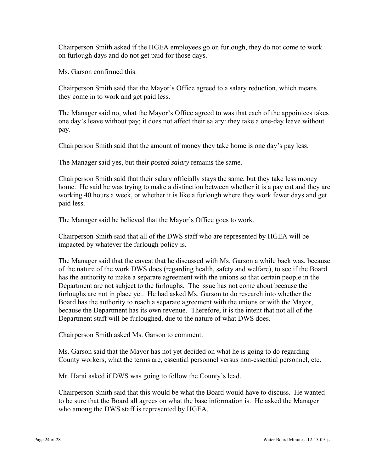Chairperson Smith asked if the HGEA employees go on furlough, they do not come to work on furlough days and do not get paid for those days.

Ms. Garson confirmed this.

Chairperson Smith said that the Mayor's Office agreed to a salary reduction, which means they come in to work and get paid less.

The Manager said no, what the Mayor's Office agreed to was that each of the appointees takes one day's leave without pay; it does not affect their salary: they take a one-day leave without pay.

Chairperson Smith said that the amount of money they take home is one day's pay less.

The Manager said yes, but their *posted salary* remains the same.

Chairperson Smith said that their salary officially stays the same, but they take less money home. He said he was trying to make a distinction between whether it is a pay cut and they are working 40 hours a week, or whether it is like a furlough where they work fewer days and get paid less.

The Manager said he believed that the Mayor's Office goes to work.

Chairperson Smith said that all of the DWS staff who are represented by HGEA will be impacted by whatever the furlough policy is.

The Manager said that the caveat that he discussed with Ms. Garson a while back was, because of the nature of the work DWS does (regarding health, safety and welfare), to see if the Board has the authority to make a separate agreement with the unions so that certain people in the Department are not subject to the furloughs. The issue has not come about because the furloughs are not in place yet. He had asked Ms. Garson to do research into whether the Board has the authority to reach a separate agreement with the unions or with the Mayor, because the Department has its own revenue. Therefore, it is the intent that not all of the Department staff will be furloughed, due to the nature of what DWS does.

Chairperson Smith asked Ms. Garson to comment.

Ms. Garson said that the Mayor has not yet decided on what he is going to do regarding County workers, what the terms are, essential personnel versus non-essential personnel, etc.

Mr. Harai asked if DWS was going to follow the County's lead.

Chairperson Smith said that this would be what the Board would have to discuss. He wanted to be sure that the Board all agrees on what the base information is. He asked the Manager who among the DWS staff is represented by HGEA.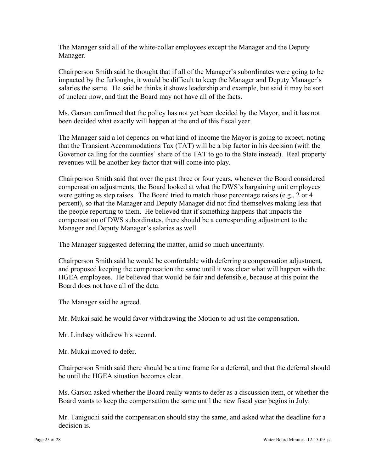The Manager said all of the white-collar employees except the Manager and the Deputy Manager.

Chairperson Smith said he thought that if all of the Manager's subordinates were going to be impacted by the furloughs, it would be difficult to keep the Manager and Deputy Manager's salaries the same. He said he thinks it shows leadership and example, but said it may be sort of unclear now, and that the Board may not have all of the facts.

Ms. Garson confirmed that the policy has not yet been decided by the Mayor, and it has not been decided what exactly will happen at the end of this fiscal year.

The Manager said a lot depends on what kind of income the Mayor is going to expect, noting that the Transient Accommodations Tax (TAT) will be a big factor in his decision (with the Governor calling for the counties' share of the TAT to go to the State instead). Real property revenues will be another key factor that will come into play.

Chairperson Smith said that over the past three or four years, whenever the Board considered compensation adjustments, the Board looked at what the DWS's bargaining unit employees were getting as step raises. The Board tried to match those percentage raises (e.g., 2 or 4 percent), so that the Manager and Deputy Manager did not find themselves making less that the people reporting to them. He believed that if something happens that impacts the compensation of DWS subordinates, there should be a corresponding adjustment to the Manager and Deputy Manager's salaries as well.

The Manager suggested deferring the matter, amid so much uncertainty.

Chairperson Smith said he would be comfortable with deferring a compensation adjustment, and proposed keeping the compensation the same until it was clear what will happen with the HGEA employees. He believed that would be fair and defensible, because at this point the Board does not have all of the data.

The Manager said he agreed.

Mr. Mukai said he would favor withdrawing the Motion to adjust the compensation.

Mr. Lindsey withdrew his second.

Mr. Mukai moved to defer.

Chairperson Smith said there should be a time frame for a deferral, and that the deferral should be until the HGEA situation becomes clear.

Ms. Garson asked whether the Board really wants to defer as a discussion item, or whether the Board wants to keep the compensation the same until the new fiscal year begins in July.

Mr. Taniguchi said the compensation should stay the same, and asked what the deadline for a decision is.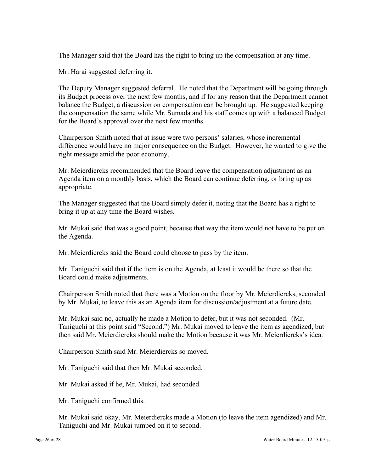The Manager said that the Board has the right to bring up the compensation at any time.

Mr. Harai suggested deferring it.

The Deputy Manager suggested deferral. He noted that the Department will be going through its Budget process over the next few months, and if for any reason that the Department cannot balance the Budget, a discussion on compensation can be brought up. He suggested keeping the compensation the same while Mr. Sumada and his staff comes up with a balanced Budget for the Board's approval over the next few months.

Chairperson Smith noted that at issue were two persons' salaries, whose incremental difference would have no major consequence on the Budget. However, he wanted to give the right message amid the poor economy.

Mr. Meierdiercks recommended that the Board leave the compensation adjustment as an Agenda item on a monthly basis, which the Board can continue deferring, or bring up as appropriate.

The Manager suggested that the Board simply defer it, noting that the Board has a right to bring it up at any time the Board wishes.

Mr. Mukai said that was a good point, because that way the item would not have to be put on the Agenda.

Mr. Meierdiercks said the Board could choose to pass by the item.

Mr. Taniguchi said that if the item is on the Agenda, at least it would be there so that the Board could make adjustments.

Chairperson Smith noted that there was a Motion on the floor by Mr. Meierdiercks, seconded by Mr. Mukai, to leave this as an Agenda item for discussion/adjustment at a future date.

Mr. Mukai said no, actually he made a Motion to defer, but it was not seconded. (Mr. Taniguchi at this point said "Second.") Mr. Mukai moved to leave the item as agendized, but then said Mr. Meierdiercks should make the Motion because it was Mr. Meierdiercks's idea.

Chairperson Smith said Mr. Meierdiercks so moved.

Mr. Taniguchi said that then Mr. Mukai seconded.

Mr. Mukai asked if he, Mr. Mukai, had seconded.

Mr. Taniguchi confirmed this.

Mr. Mukai said okay, Mr. Meierdiercks made a Motion (to leave the item agendized) and Mr. Taniguchi and Mr. Mukai jumped on it to second.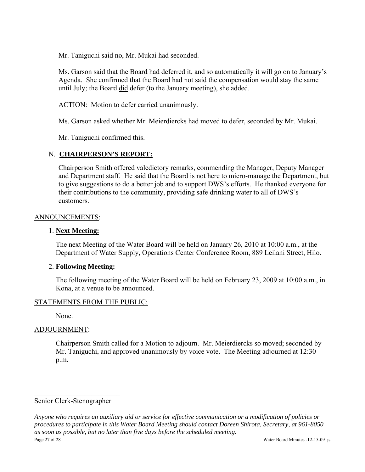Mr. Taniguchi said no, Mr. Mukai had seconded.

Ms. Garson said that the Board had deferred it, and so automatically it will go on to January's Agenda. She confirmed that the Board had not said the compensation would stay the same until July; the Board did defer (to the January meeting), she added.

ACTION: Motion to defer carried unanimously.

Ms. Garson asked whether Mr. Meierdiercks had moved to defer, seconded by Mr. Mukai.

Mr. Taniguchi confirmed this.

## N. **CHAIRPERSON'S REPORT:**

Chairperson Smith offered valedictory remarks, commending the Manager, Deputy Manager and Department staff. He said that the Board is not here to micro-manage the Department, but to give suggestions to do a better job and to support DWS's efforts. He thanked everyone for their contributions to the community, providing safe drinking water to all of DWS's customers.

### ANNOUNCEMENTS:

## 1. **Next Meeting:**

The next Meeting of the Water Board will be held on January 26, 2010 at 10:00 a.m., at the Department of Water Supply, Operations Center Conference Room, 889 Leilani Street, Hilo.

## 2. **Following Meeting:**

The following meeting of the Water Board will be held on February 23, 2009 at 10:00 a.m., in Kona, at a venue to be announced.

## STATEMENTS FROM THE PUBLIC:

None.

## ADJOURNMENT:

Chairperson Smith called for a Motion to adjourn. Mr. Meierdiercks so moved; seconded by Mr. Taniguchi, and approved unanimously by voice vote. The Meeting adjourned at 12:30 p.m.

### Senior Clerk-Stenographer

 $\mathcal{L}_\text{max}$  , where  $\mathcal{L}_\text{max}$  and  $\mathcal{L}_\text{max}$ 

Page 27 of 28 Water Board Minutes -12-15-09 js *Anyone who requires an auxiliary aid or service for effective communication or a modification of policies or procedures to participate in this Water Board Meeting should contact Doreen Shirota, Secretary, at 961-8050 as soon as possible, but no later than five days before the scheduled meeting.*